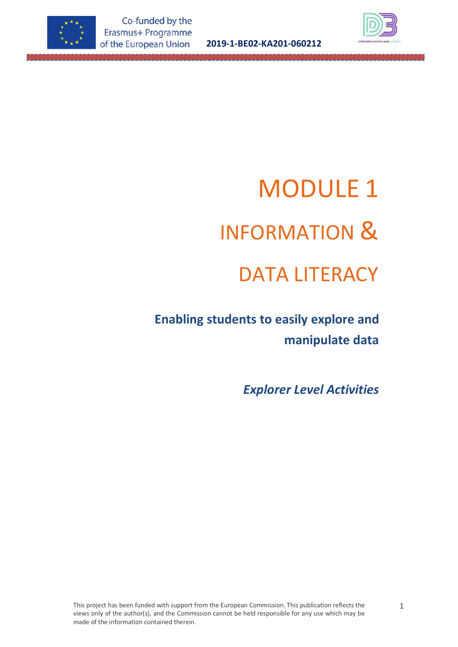

**2019-1-BE02-KA201-060212**



 **Enabling students to easily explore and manipulate data**

*Explorer Level Activities*